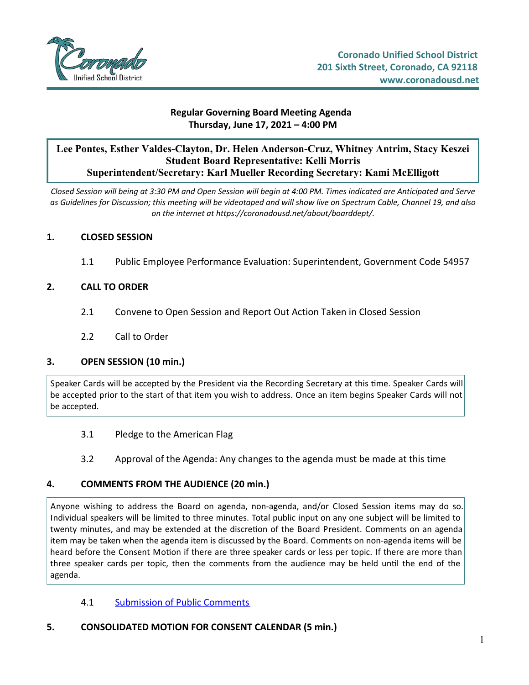

### **Regular Governing Board Meeting Agenda Thursday, June 17, 2021 – 4:00 PM**

# **Lee Pontes, Esther Valdes-Clayton, Dr. Helen Anderson-Cruz, Whitney Antrim, Stacy Keszei Student Board Representative: Kelli Morris Superintendent/Secretary: Karl Mueller Recording Secretary: Kami McElligott**

Closed Session will being at 3:30 PM and Open Session will begin at 4:00 PM. Times indicated are Anticipated and Serve as Guidelines for Discussion; this meeting will be videotaped and will show live on Spectrum Cable, Channel 19, and also *on the internet at https://coronadousd.net/about/boarddept/.*

### **1. CLOSED SESSION**

1.1 Public Employee Performance Evaluation: Superintendent, Government Code 54957

### **2. CALL TO ORDER**

- 2.1 Convene to Open Session and Report Out Action Taken in Closed Session
- 2.2 Call to Order

### **3. OPEN SESSION (10 min.)**

Speaker Cards will be accepted by the President via the Recording Secretary at this time. Speaker Cards will be accepted prior to the start of that item you wish to address. Once an item begins Speaker Cards will not be accepted.

- 3.1 Pledge to the American Flag
- 3.2 Approval of the Agenda: Any changes to the agenda must be made at this time

### **4. COMMENTS FROM THE AUDIENCE (20 min.)**

Anyone wishing to address the Board on agenda, non-agenda, and/or Closed Session items may do so. Individual speakers will be limited to three minutes. Total public input on any one subject will be limited to twenty minutes, and may be extended at the discretion of the Board President. Comments on an agenda item may be taken when the agenda item is discussed by the Board. Comments on non-agenda items will be heard before the Consent Motion if there are three speaker cards or less per topic. If there are more than three speaker cards per topic, then the comments from the audience may be held until the end of the agenda.

- 4.1 [Submission](https://d2kbkoa27fdvtw.cloudfront.net/coronadousd/ce2014ac029afe6eba5877abf44dbdba0.pdf) of Public Comments
- **5. CONSOLIDATED MOTION FOR CONSENT CALENDAR (5 min.)**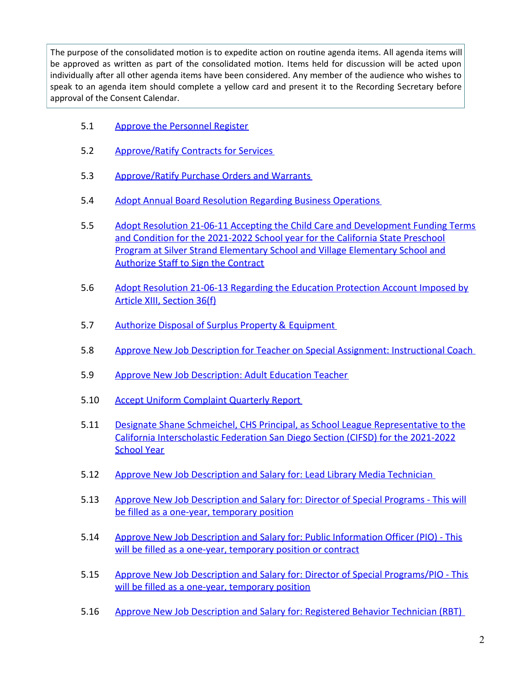The purpose of the consolidated motion is to expedite action on routine agenda items. All agenda items will be approved as written as part of the consolidated motion. Items held for discussion will be acted upon individually after all other agenda items have been considered. Any member of the audience who wishes to speak to an agenda item should complete a yellow card and present it to the Recording Secretary before approval of the Consent Calendar.

- 5.1 Approve the [Personnel](https://d2kbkoa27fdvtw.cloudfront.net/coronadousd/9a1572eedfb2e2380d5202dac49663130.pdf) Register
- 5.2 [Approve/Ratify](https://d2kbkoa27fdvtw.cloudfront.net/coronadousd/6bc0dcf897345f96f463e32b437391800.pdf) Contracts for Services
- 5.3 [Approve/Ratify](https://d2kbkoa27fdvtw.cloudfront.net/coronadousd/93714eeb5880d7bb9ad087a32be9967c0.pdf) Purchase Orders and Warrants
- 5.4 Adopt Annual Board Resolution Regarding Business [Operations](https://d2kbkoa27fdvtw.cloudfront.net/coronadousd/11f71e5940510a6d5a3bde02af1528b90.pdf)
- 5.5 Adopt Resolution 21-06-11 Accepting the Child Care and [Development](https://d2kbkoa27fdvtw.cloudfront.net/coronadousd/aad5572eea28632fc905b84d0cad01470.pdf) Funding Terms and Condition for the 2021-2022 School year for the California State Preschool Program at Silver Strand Elementary School and Village Elementary School and Authorize Staff to Sign the Contract
- 5.6 Adopt [Resolution](https://d2kbkoa27fdvtw.cloudfront.net/coronadousd/fa5f271147981df669f4eb5ea5706a710.pdf) 21-06-13 Regarding the Education Protection Account Imposed by Article XIII, Section 36(f)
- 5.7 Authorize Disposal of Surplus Property & [Equipment](https://d2kbkoa27fdvtw.cloudfront.net/coronadousd/a9de599512d32722179fb484c38105470.pdf)
- 5.8 Approve New Job Description for Teacher on Special Assignment: [Instructional](https://d2kbkoa27fdvtw.cloudfront.net/coronadousd/5a04b539d3319b1e3d978017b8ea4c410.pdf) Coach
- 5.9 Approve New Job [Description:](https://d2kbkoa27fdvtw.cloudfront.net/coronadousd/1bc8582bb2ebf7dde050bbf211b38adb0.pdf) Adult Education Teacher
- 5.10 Accept Uniform [Complaint](https://d2kbkoa27fdvtw.cloudfront.net/coronadousd/e00ee7ab9cfc0b87c40ee70991539bf60.pdf) Quarterly Report
- 5.11 Designate Shane Schmeichel, CHS Principal, as School League [Representative](https://d2kbkoa27fdvtw.cloudfront.net/coronadousd/85f8a0eb2e569eec4a931aa3582c55500.pdf) to the California Interscholastic Federation San Diego Section (CIFSD) for the 2021-2022 **School Year**
- 5.12 Approve New Job [Description](https://d2kbkoa27fdvtw.cloudfront.net/coronadousd/5c0bbd66dd057b343683a9c0d4d6fe360.pdf) and Salary for: Lead Library Media Technician
- 5.13 Approve New Job [Description](https://d2kbkoa27fdvtw.cloudfront.net/coronadousd/67dea1975d7f1cde399d31bd9ee880fb0.pdf) and Salary for: Director of Special Programs This will be filled as a one-year, temporary position
- 5.14 Approve New Job Description and Salary for: Public [Information](https://d2kbkoa27fdvtw.cloudfront.net/coronadousd/0d94a0242acbb536cbe9f12dd396ac0f0.pdf) Officer (PIO) This will be filled as a one-year, temporary position or contract
- 5.15 Approve New Job Description and Salary for: Director of Special [Programs/PIO](https://d2kbkoa27fdvtw.cloudfront.net/coronadousd/e29988163290fafe118a0a7cd61d5a780.pdf) This will be filled as a one-year, temporary position
- 5.16 Approve New Job [Description](https://d2kbkoa27fdvtw.cloudfront.net/coronadousd/63163999d85b00c5375e5dd419dda4e30.pdf) and Salary for: Registered Behavior Technician (RBT)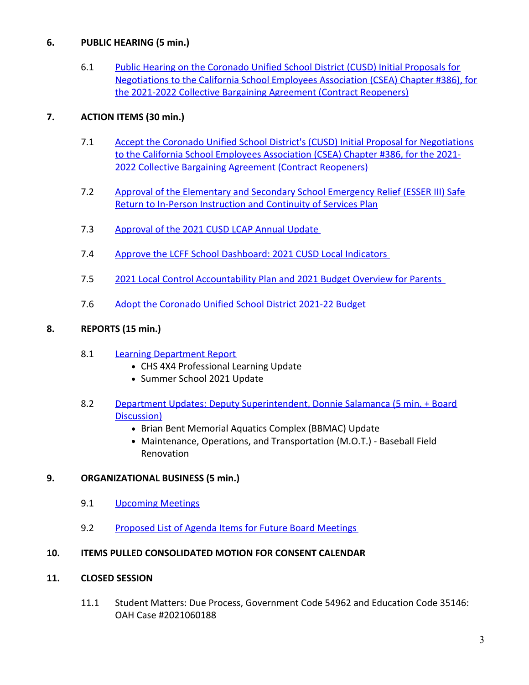# **6. PUBLIC HEARING (5 min.)**

6.1 Public Hearing on the Coronado Unified School District (CUSD) Initial Proposals for [Negotiations](https://d2kbkoa27fdvtw.cloudfront.net/coronadousd/86944e8182a678068fc6194cc44339ad0.pdf) to the California School Employees Association (CSEA) Chapter #386), for the 2021-2022 Collective Bargaining Agreement (Contract Reopeners)

# **7. ACTION ITEMS (30 min.)**

- 7.1 Accept the Coronado Unified School District's (CUSD) Initial Proposal for [Negotiations](https://d2kbkoa27fdvtw.cloudfront.net/coronadousd/5a4d69fc2a020de7dea3948c2538bd820.pdf) to the California School Employees Association (CSEA) Chapter #386, for the 2021- 2022 Collective Bargaining Agreement (Contract Reopeners)
- 7.2 Approval of the [Elementary](https://d2kbkoa27fdvtw.cloudfront.net/coronadousd/b8c23f444c4e11913b9bfd4d2bc6c54d0.pdf) and Secondary School Emergency Relief (ESSER III) Safe Return to In-Person Instruction and Continuity of Services Plan
- 7.3 [Approval](https://d2kbkoa27fdvtw.cloudfront.net/coronadousd/0d8bff1648f70c58d51f9cecd660f6540.pdf) of the 2021 CUSD LCAP Annual Update
- 7.4 Approve the LCFF School [Dashboard:](https://d2kbkoa27fdvtw.cloudfront.net/coronadousd/54e74d7055e12998ea9c04da7d5ba7c40.pdf) 2021 CUSD Local Indicators
- 7.5 2021 Local Control [Accountability](https://d2kbkoa27fdvtw.cloudfront.net/coronadousd/286604900dce8f37b37c734a5f83d47f0.pdf) Plan and 2021 Budget Overview for Parents
- 7.6 Adopt the [Coronado](https://d2kbkoa27fdvtw.cloudfront.net/coronadousd/f8d3c71de42750756f5713d5d9a0b5800.pdf) Unified School District 2021-22 Budget

# **8. REPORTS (15 min.)**

- 8.1 Learning [Department](https://d2kbkoa27fdvtw.cloudfront.net/coronadousd/3c3c970ecfb42dc2298260347abec8840.pdf) Report
	- CHS 4X4 Professional Learning Update
	- Summer School 2021 Update
- 8.2 Department Updates: Deputy [Superintendent,](https://d2kbkoa27fdvtw.cloudfront.net/coronadousd/b739847ff4cbbb9104d7d913fb338b8f0.pdf) Donnie Salamanca (5 min. + Board Discussion)
	- Brian Bent Memorial Aquatics Complex (BBMAC) Update
	- Maintenance, Operations, and Transportation (M.O.T.) Baseball Field Renovation

## **9. ORGANIZATIONAL BUSINESS (5 min.)**

- 9.1 [Upcoming](https://d2kbkoa27fdvtw.cloudfront.net/coronadousd/52a2d89b056d4a986c21a8a30fa3e4410.pdf) Meetings
- 9.2 [Proposed](https://d2kbkoa27fdvtw.cloudfront.net/coronadousd/94950da500036ec4ea57258d7bf52f8b0.pdf) List of Agenda Items for Future Board Meetings

## **10. ITEMS PULLED CONSOLIDATED MOTION FOR CONSENT CALENDAR**

## **11. CLOSED SESSION**

11.1 Student Matters: Due Process, Government Code 54962 and Education Code 35146: OAH Case #2021060188